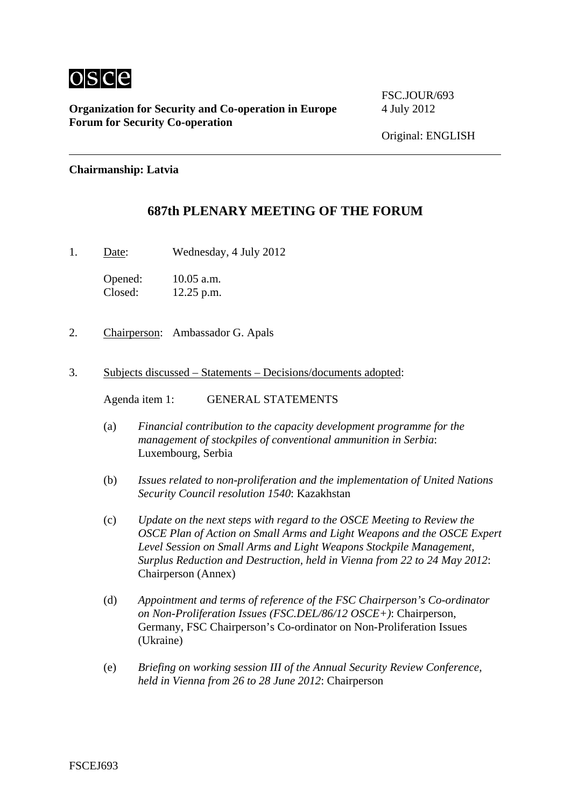

**Organization for Security and Co-operation in Europe** 4 July 2012 **Forum for Security Co-operation**

FSC.JOUR/693

### **Chairmanship: Latvia**

## **687th PLENARY MEETING OF THE FORUM**

1. Date: Wednesday, 4 July 2012

Opened: 10.05 a.m. Closed: 12.25 p.m.

- 2. Chairperson: Ambassador G. Apals
- 3. Subjects discussed Statements Decisions/documents adopted:

Agenda item 1: GENERAL STATEMENTS

- (a) *Financial contribution to the capacity development programme for the management of stockpiles of conventional ammunition in Serbia*: Luxembourg, Serbia
- (b) *Issues related to non-proliferation and the implementation of United Nations Security Council resolution 1540*: Kazakhstan
- (c) *Update on the next steps with regard to the OSCE Meeting to Review the OSCE Plan of Action on Small Arms and Light Weapons and the OSCE Expert Level Session on Small Arms and Light Weapons Stockpile Management, Surplus Reduction and Destruction, held in Vienna from 22 to 24 May 2012*: Chairperson (Annex)
- (d) *Appointment and terms of reference of the FSC Chairperson's Co-ordinator on Non-Proliferation Issues (FSC.DEL/86/12 OSCE+)*: Chairperson, Germany, FSC Chairperson's Co-ordinator on Non-Proliferation Issues (Ukraine)
- (e) *Briefing on working session III of the Annual Security Review Conference, held in Vienna from 26 to 28 June 2012*: Chairperson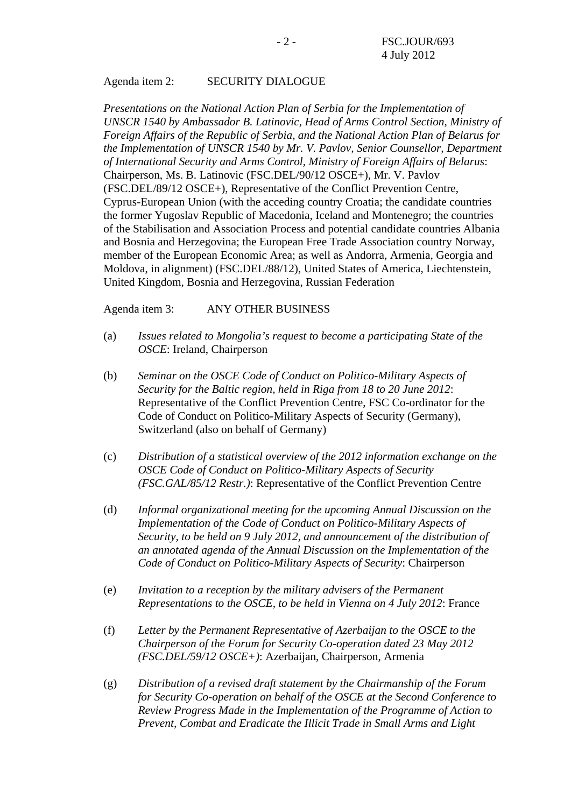#### Agenda item 2: SECURITY DIALOGUE

*Presentations on the National Action Plan of Serbia for the Implementation of UNSCR 1540 by Ambassador B. Latinovic, Head of Arms Control Section, Ministry of Foreign Affairs of the Republic of Serbia, and the National Action Plan of Belarus for the Implementation of UNSCR 1540 by Mr. V. Pavlov, Senior Counsellor, Department of International Security and Arms Control, Ministry of Foreign Affairs of Belarus*: Chairperson, Ms. B. Latinovic (FSC.DEL/90/12 OSCE+), Mr. V. Pavlov (FSC.DEL/89/12 OSCE+), Representative of the Conflict Prevention Centre, Cyprus-European Union (with the acceding country Croatia; the candidate countries the former Yugoslav Republic of Macedonia, Iceland and Montenegro; the countries of the Stabilisation and Association Process and potential candidate countries Albania and Bosnia and Herzegovina; the European Free Trade Association country Norway, member of the European Economic Area; as well as Andorra, Armenia, Georgia and Moldova, in alignment) (FSC.DEL/88/12), United States of America, Liechtenstein, United Kingdom, Bosnia and Herzegovina, Russian Federation

Agenda item 3: ANY OTHER BUSINESS

- (a) *Issues related to Mongolia's request to become a participating State of the OSCE*: Ireland, Chairperson
- (b) *Seminar on the OSCE Code of Conduct on Politico-Military Aspects of Security for the Baltic region, held in Riga from 18 to 20 June 2012*: Representative of the Conflict Prevention Centre, FSC Co-ordinator for the Code of Conduct on Politico-Military Aspects of Security (Germany), Switzerland (also on behalf of Germany)
- (c) *Distribution of a statistical overview of the 2012 information exchange on the OSCE Code of Conduct on Politico-Military Aspects of Security (FSC.GAL/85/12 Restr.)*: Representative of the Conflict Prevention Centre
- (d) *Informal organizational meeting for the upcoming Annual Discussion on the Implementation of the Code of Conduct on Politico-Military Aspects of Security, to be held on 9 July 2012, and announcement of the distribution of an annotated agenda of the Annual Discussion on the Implementation of the Code of Conduct on Politico-Military Aspects of Security*: Chairperson
- (e) *Invitation to a reception by the military advisers of the Permanent Representations to the OSCE, to be held in Vienna on 4 July 2012*: France
- (f) *Letter by the Permanent Representative of Azerbaijan to the OSCE to the Chairperson of the Forum for Security Co-operation dated 23 May 2012 (FSC.DEL/59/12 OSCE+)*: Azerbaijan, Chairperson, Armenia
- (g) *Distribution of a revised draft statement by the Chairmanship of the Forum for Security Co-operation on behalf of the OSCE at the Second Conference to Review Progress Made in the Implementation of the Programme of Action to Prevent, Combat and Eradicate the Illicit Trade in Small Arms and Light*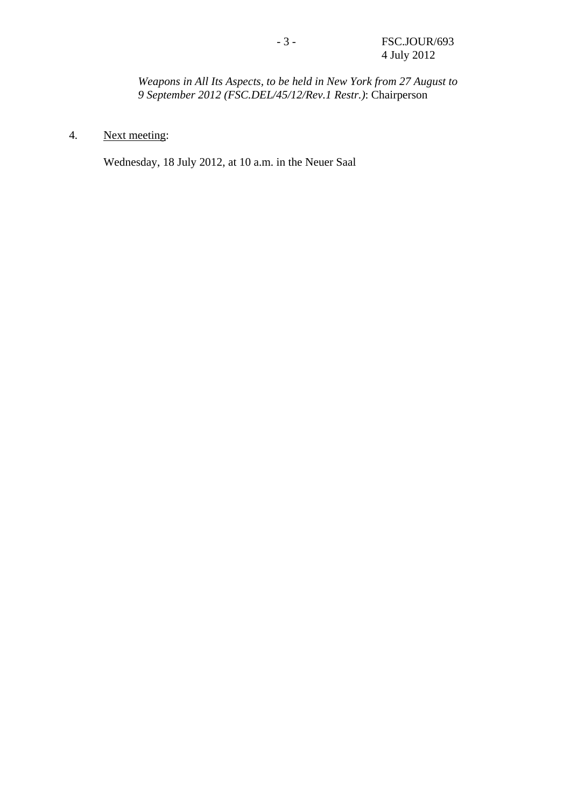*Weapons in All Its Aspects, to be held in New York from 27 August to 9 September 2012 (FSC.DEL/45/12/Rev.1 Restr.)*: Chairperson

# 4. Next meeting:

Wednesday, 18 July 2012, at 10 a.m. in the Neuer Saal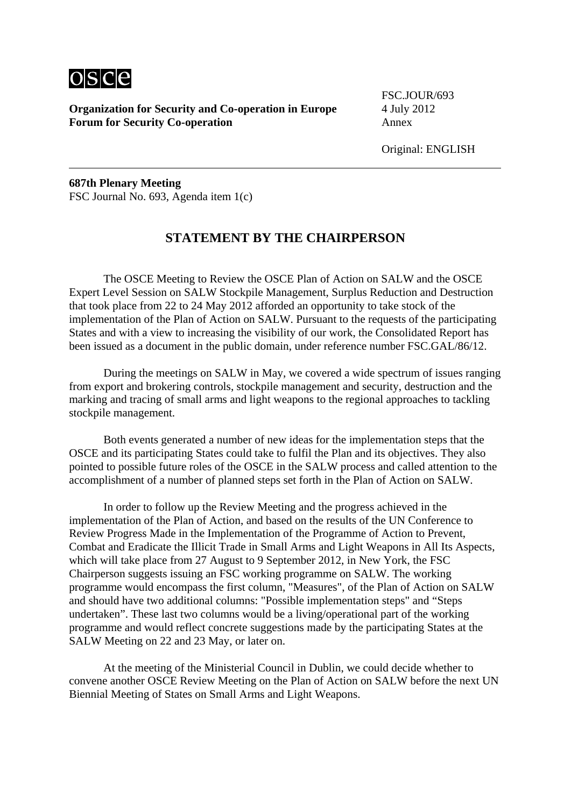

**Organization for Security and Co-operation in Europe** 4 July 2012 **Forum for Security Co-operation** Annex

FSC.JOUR/693

**687th Plenary Meeting**  FSC Journal No. 693, Agenda item 1(c)

## **STATEMENT BY THE CHAIRPERSON**

 The OSCE Meeting to Review the OSCE Plan of Action on SALW and the OSCE Expert Level Session on SALW Stockpile Management, Surplus Reduction and Destruction that took place from 22 to 24 May 2012 afforded an opportunity to take stock of the implementation of the Plan of Action on SALW. Pursuant to the requests of the participating States and with a view to increasing the visibility of our work, the Consolidated Report has been issued as a document in the public domain, under reference number FSC.GAL/86/12.

 During the meetings on SALW in May, we covered a wide spectrum of issues ranging from export and brokering controls, stockpile management and security, destruction and the marking and tracing of small arms and light weapons to the regional approaches to tackling stockpile management.

 Both events generated a number of new ideas for the implementation steps that the OSCE and its participating States could take to fulfil the Plan and its objectives. They also pointed to possible future roles of the OSCE in the SALW process and called attention to the accomplishment of a number of planned steps set forth in the Plan of Action on SALW.

 In order to follow up the Review Meeting and the progress achieved in the implementation of the Plan of Action, and based on the results of the UN Conference to Review Progress Made in the Implementation of the Programme of Action to Prevent, Combat and Eradicate the Illicit Trade in Small Arms and Light Weapons in All Its Aspects, which will take place from 27 August to 9 September 2012, in New York, the FSC Chairperson suggests issuing an FSC working programme on SALW. The working programme would encompass the first column, "Measures", of the Plan of Action on SALW and should have two additional columns: "Possible implementation steps" and "Steps undertaken". These last two columns would be a living/operational part of the working programme and would reflect concrete suggestions made by the participating States at the SALW Meeting on 22 and 23 May, or later on.

 At the meeting of the Ministerial Council in Dublin, we could decide whether to convene another OSCE Review Meeting on the Plan of Action on SALW before the next UN Biennial Meeting of States on Small Arms and Light Weapons.